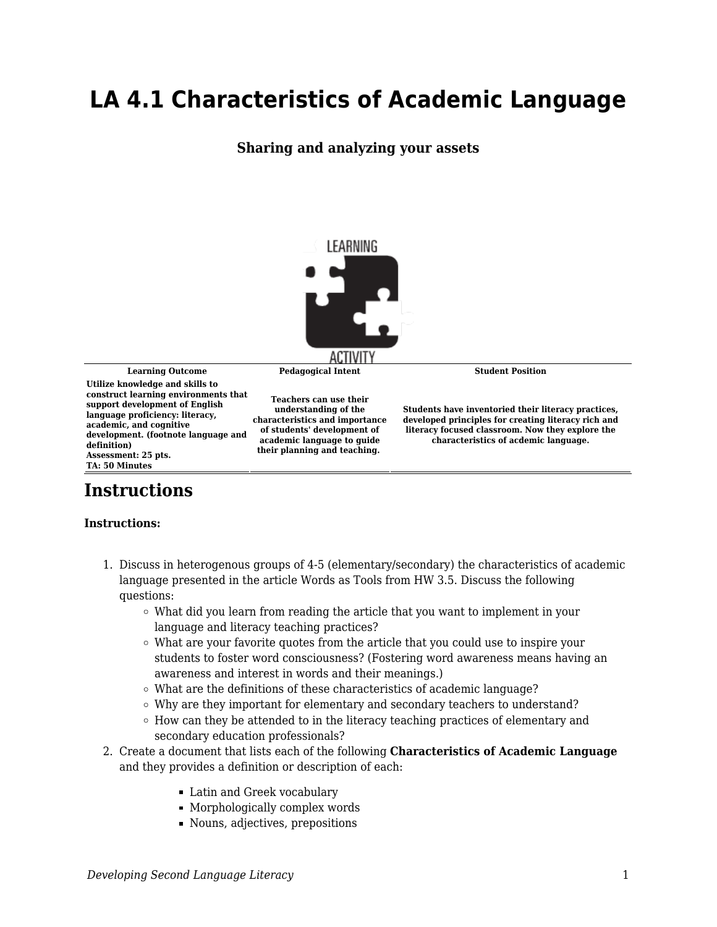## **LA 4.1 Characteristics of Academic Language**

## **Sharing and analyzing your assets**



**Learning Outcome Pedagogical Intent Student Position**

**Utilize knowledge and skills to construct learning environments that support development of English language proficiency: literacy, academic, and cognitive development. (footnote language and definition) Assessment: 25 pts. TA: 50 Minutes**

**Teachers can use their understanding of the characteristics and importance of students' development of academic language to guide their planning and teaching.** 

**Students have inventoried their literacy practices, developed principles for creating literacy rich and literacy focused classroom. Now they explore the characteristics of acdemic language.**

## **Instructions**

## **Instructions:**

- 1. Discuss in heterogenous groups of 4-5 (elementary/secondary) the characteristics of academic language presented in the article Words as Tools from HW 3.5. Discuss the following questions:
	- What did you learn from reading the article that you want to implement in your language and literacy teaching practices?
	- $\circ$  What are your favorite quotes from the article that you could use to inspire your students to foster word consciousness? (Fostering word awareness means having an awareness and interest in words and their meanings.)
	- What are the definitions of these characteristics of academic language?
	- Why are they important for elementary and secondary teachers to understand?
	- $\circ$  How can they be attended to in the literacy teaching practices of elementary and secondary education professionals?
- 2. Create a document that lists each of the following **Characteristics of Academic Language** and they provides a definition or description of each:
	- Latin and Greek vocabulary
	- Morphologically complex words
	- Nouns, adjectives, prepositions